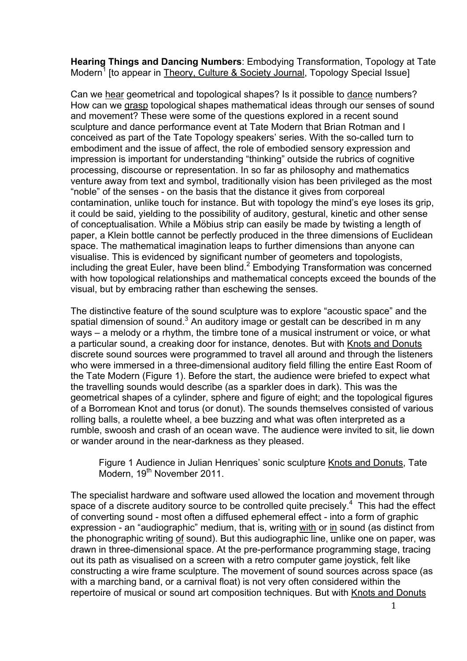**Hearing Things and Dancing Numbers**: Embodying Transformation, Topology at Tate Modern<sup>1</sup> Ito appear in Theory, Culture & Society Journal, Topology Special Issue]

Can we hear geometrical and topological shapes? Is it possible to dance numbers? How can we grasp topological shapes mathematical ideas through our senses of sound and movement? These were some of the questions explored in a recent sound sculpture and dance performance event at Tate Modern that Brian Rotman and I conceived as part of the Tate Topology speakers' series. With the so-called turn to embodiment and the issue of affect, the role of embodied sensory expression and impression is important for understanding "thinking" outside the rubrics of cognitive processing, discourse or representation. In so far as philosophy and mathematics venture away from text and symbol, traditionally vision has been privileged as the most "noble" of the senses - on the basis that the distance it gives from corporeal contamination, unlike touch for instance. But with topology the mind's eye loses its grip, it could be said, yielding to the possibility of auditory, gestural, kinetic and other sense of conceptualisation. While a Möbius strip can easily be made by twisting a length of paper, a Klein bottle cannot be perfectly produced in the three dimensions of Euclidean space. The mathematical imagination leaps to further dimensions than anyone can visualise. This is evidenced by significant number of geometers and topologists, including the great Euler, have been blind. <sup>2</sup> Embodying Transformation was concerned with how topological relationships and mathematical concepts exceed the bounds of the visual, but by embracing rather than eschewing the senses.

The distinctive feature of the sound sculpture was to explore "acoustic space" and the spatial dimension of sound.<sup>3</sup> An auditory image or gestalt can be described in m any ways – a melody or a rhythm, the timbre tone of a musical instrument or voice, or what a particular sound, a creaking door for instance, denotes. But with Knots and Donuts discrete sound sources were programmed to travel all around and through the listeners who were immersed in a three-dimensional auditory field filling the entire East Room of the Tate Modern (Figure 1). Before the start, the audience were briefed to expect what the travelling sounds would describe (as a sparkler does in dark). This was the geometrical shapes of a cylinder, sphere and figure of eight; and the topological figures of a Borromean Knot and torus (or donut). The sounds themselves consisted of various rolling balls, a roulette wheel, a bee buzzing and what was often interpreted as a rumble, swoosh and crash of an ocean wave. The audience were invited to sit, lie down or wander around in the near-darkness as they pleased.

Figure 1 Audience in Julian Henriques' sonic sculpture Knots and Donuts, Tate Modern, 19<sup>th</sup> November 2011.

The specialist hardware and software used allowed the location and movement through space of a discrete auditory source to be controlled quite precisely.<sup>4</sup> This had the effect of converting sound - most often a diffused ephemeral effect - into a form of graphic expression - an "audiographic" medium, that is, writing with or in sound (as distinct from the phonographic writing of sound). But this audiographic line, unlike one on paper, was drawn in three-dimensional space. At the pre-performance programming stage, tracing out its path as visualised on a screen with a retro computer game joystick, felt like constructing a wire frame sculpture. The movement of sound sources across space (as with a marching band, or a carnival float) is not very often considered within the repertoire of musical or sound art composition techniques. But with Knots and Donuts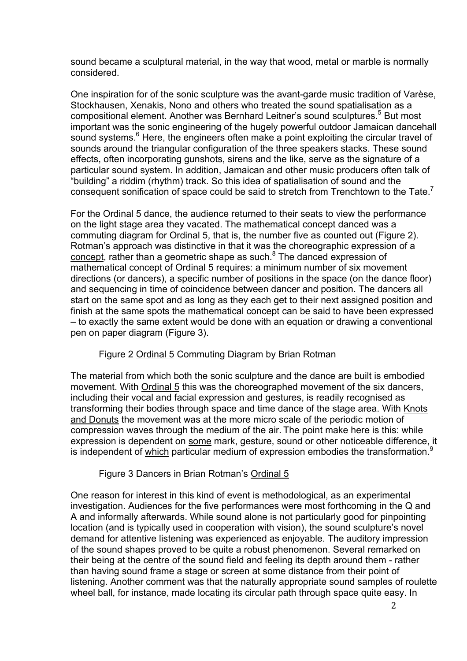sound became a sculptural material, in the way that wood, metal or marble is normally considered.

One inspiration for of the sonic sculpture was the avant-garde music tradition of Varèse, Stockhausen, Xenakis, Nono and others who treated the sound spatialisation as a compositional element. Another was Bernhard Leitner's sound sculptures.<sup>5</sup> But most important was the sonic engineering of the hugely powerful outdoor Jamaican dancehall sound systems.<sup>6</sup> Here, the engineers often make a point exploiting the circular travel of sounds around the triangular configuration of the three speakers stacks. These sound effects, often incorporating gunshots, sirens and the like, serve as the signature of a particular sound system. In addition, Jamaican and other music producers often talk of "building" a riddim (rhythm) track. So this idea of spatialisation of sound and the consequent sonification of space could be said to stretch from Trenchtown to the Tate.<sup>7</sup>

For the Ordinal 5 dance, the audience returned to their seats to view the performance on the light stage area they vacated. The mathematical concept danced was a commuting diagram for Ordinal 5, that is, the number five as counted out (Figure 2). Rotman's approach was distinctive in that it was the choreographic expression of a concept, rather than a geometric shape as such.<sup>8</sup> The danced expression of mathematical concept of Ordinal 5 requires: a minimum number of six movement directions (or dancers), a specific number of positions in the space (on the dance floor) and sequencing in time of coincidence between dancer and position. The dancers all start on the same spot and as long as they each get to their next assigned position and finish at the same spots the mathematical concept can be said to have been expressed – to exactly the same extent would be done with an equation or drawing a conventional pen on paper diagram (Figure 3).

## Figure 2 Ordinal 5 Commuting Diagram by Brian Rotman

The material from which both the sonic sculpture and the dance are built is embodied movement. With Ordinal 5 this was the choreographed movement of the six dancers, including their vocal and facial expression and gestures, is readily recognised as transforming their bodies through space and time dance of the stage area. With Knots and Donuts the movement was at the more micro scale of the periodic motion of compression waves through the medium of the air. The point make here is this: while expression is dependent on some mark, gesture, sound or other noticeable difference, it is independent of which particular medium of expression embodies the transformation. $9$ 

## Figure 3 Dancers in Brian Rotman's Ordinal 5

One reason for interest in this kind of event is methodological, as an experimental investigation. Audiences for the five performances were most forthcoming in the Q and A and informally afterwards. While sound alone is not particularly good for pinpointing location (and is typically used in cooperation with vision), the sound sculpture's novel demand for attentive listening was experienced as enjoyable. The auditory impression of the sound shapes proved to be quite a robust phenomenon. Several remarked on their being at the centre of the sound field and feeling its depth around them - rather than having sound frame a stage or screen at some distance from their point of listening. Another comment was that the naturally appropriate sound samples of roulette wheel ball, for instance, made locating its circular path through space quite easy. In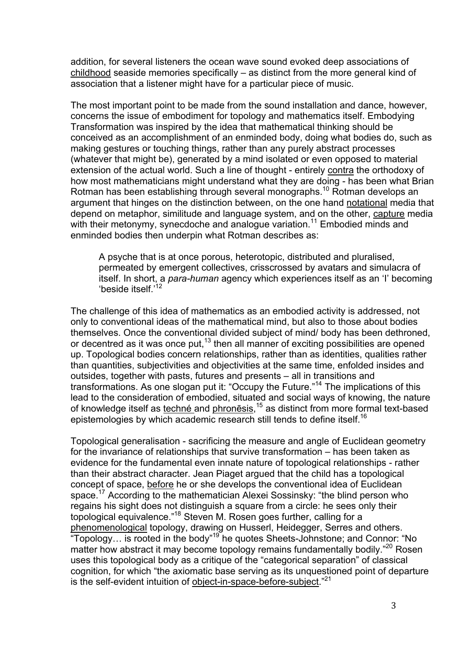addition, for several listeners the ocean wave sound evoked deep associations of childhood seaside memories specifically – as distinct from the more general kind of association that a listener might have for a particular piece of music.

The most important point to be made from the sound installation and dance, however, concerns the issue of embodiment for topology and mathematics itself. Embodying Transformation was inspired by the idea that mathematical thinking should be conceived as an accomplishment of an enminded body, doing what bodies do, such as making gestures or touching things, rather than any purely abstract processes (whatever that might be), generated by a mind isolated or even opposed to material extension of the actual world. Such a line of thought - entirely contra the orthodoxy of how most mathematicians might understand what they are doing - has been what Brian Rotman has been establishing through several monographs.<sup>10</sup> Rotman develops an argument that hinges on the distinction between, on the one hand notational media that depend on metaphor, similitude and language system, and on the other, capture media with their metonymy, synecdoche and analogue variation.<sup>11</sup> Embodied minds and enminded bodies then underpin what Rotman describes as:

A psyche that is at once porous, heterotopic, distributed and pluralised, permeated by emergent collectives, crisscrossed by avatars and simulacra of itself. In short, a *para-human* agency which experiences itself as an 'I' becoming 'beside itself.' 12

The challenge of this idea of mathematics as an embodied activity is addressed, not only to conventional ideas of the mathematical mind, but also to those about bodies themselves. Once the conventional divided subject of mind/ body has been dethroned, or decentred as it was once put, $13$  then all manner of exciting possibilities are opened up. Topological bodies concern relationships, rather than as identities, qualities rather than quantities, subjectivities and objectivities at the same time, enfolded insides and outsides, together with pasts, futures and presents – all in transitions and transformations. As one slogan put it: "Occupy the Future."<sup>14</sup> The implications of this lead to the consideration of embodied, situated and social ways of knowing, the nature of knowledge itself as techné and phronēsis,<sup>15</sup> as distinct from more formal text-based epistemologies by which academic research still tends to define itself.<sup>16</sup>

Topological generalisation - sacrificing the measure and angle of Euclidean geometry for the invariance of relationships that survive transformation – has been taken as evidence for the fundamental even innate nature of topological relationships - rather than their abstract character. Jean Piaget argued that the child has a topological concept of space, before he or she develops the conventional idea of Euclidean space.<sup>17</sup> According to the mathematician Alexei Sossinsky: "the blind person who regains his sight does not distinguish a square from a circle: he sees only their topological equivalence."<sup>18</sup> Steven M. Rosen goes further, calling for a phenomenological topology, drawing on Husserl, Heidegger, Serres and others. "Topology... is rooted in the body"<sup>19</sup> he quotes Sheets-Johnstone; and Connor: "No matter how abstract it may become topology remains fundamentally bodily."<sup>20</sup> Rosen uses this topological body as a critique of the "categorical separation" of classical cognition, for which "the axiomatic base serving as its unquestioned point of departure is the self-evident intuition of object-in-space-before-subject."<sup>21</sup>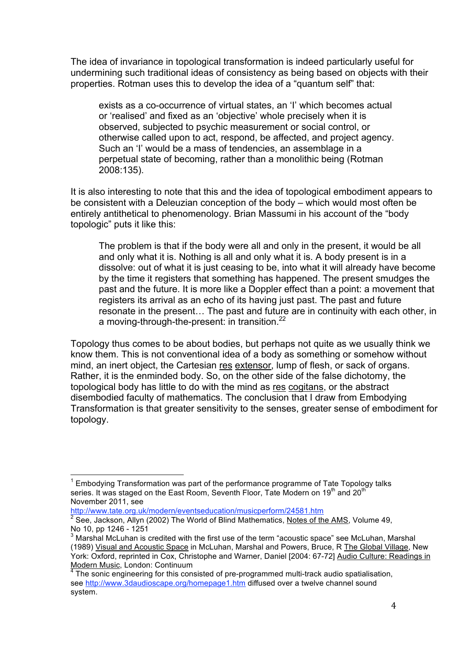The idea of invariance in topological transformation is indeed particularly useful for undermining such traditional ideas of consistency as being based on objects with their properties. Rotman uses this to develop the idea of a "quantum self" that:

exists as a co-occurrence of virtual states, an 'I' which becomes actual or 'realised' and fixed as an 'objective' whole precisely when it is observed, subjected to psychic measurement or social control, or otherwise called upon to act, respond, be affected, and project agency. Such an 'I' would be a mass of tendencies, an assemblage in a perpetual state of becoming, rather than a monolithic being (Rotman 2008:135).

It is also interesting to note that this and the idea of topological embodiment appears to be consistent with a Deleuzian conception of the body – which would most often be entirely antithetical to phenomenology. Brian Massumi in his account of the "body topologic" puts it like this:

The problem is that if the body were all and only in the present, it would be all and only what it is. Nothing is all and only what it is. A body present is in a dissolve: out of what it is just ceasing to be, into what it will already have become by the time it registers that something has happened. The present smudges the past and the future. It is more like a Doppler effect than a point: a movement that registers its arrival as an echo of its having just past. The past and future resonate in the present… The past and future are in continuity with each other, in a moving-through-the-present: in transition.<sup>22</sup>

Topology thus comes to be about bodies, but perhaps not quite as we usually think we know them. This is not conventional idea of a body as something or somehow without mind, an inert object, the Cartesian res extensor, lump of flesh, or sack of organs. Rather, it is the enminded body. So, on the other side of the false dichotomy, the topological body has little to do with the mind as res cogitans, or the abstract disembodied faculty of mathematics. The conclusion that I draw from Embodying Transformation is that greater sensitivity to the senses, greater sense of embodiment for topology.

http://www.tate.org.uk/modern/eventseducation/musicperform/24581.htm

 <sup>1</sup> Embodying Transformation was part of the performance programme of Tate Topology talks series. It was staged on the East Room, Seventh Floor, Tate Modern on 19<sup>th</sup> and 20<sup>th</sup> November 2011, see

<sup>&</sup>lt;sup>2</sup> See. Jackson, Allyn (2002) The World of Blind Mathematics, Notes of the AMS, Volume 49, No 10, pp 1246 - 1251

<sup>&</sup>lt;sup>3</sup> Marshal McLuhan is credited with the first use of the term "acoustic space" see McLuhan, Marshal (1989) Visual and Acoustic Space in McLuhan, Marshal and Powers, Bruce, R The Global Village, New York: Oxford, reprinted in Cox, Christophe and Warner, Daniel [2004: 67-72] Audio Culture: Readings in Modern Music, London: Continuum

 $\frac{4}{1}$  The sonic engineering for this consisted of pre-programmed multi-track audio spatialisation, see http://www.3daudioscape.org/homepage1.htm diffused over a twelve channel sound system.